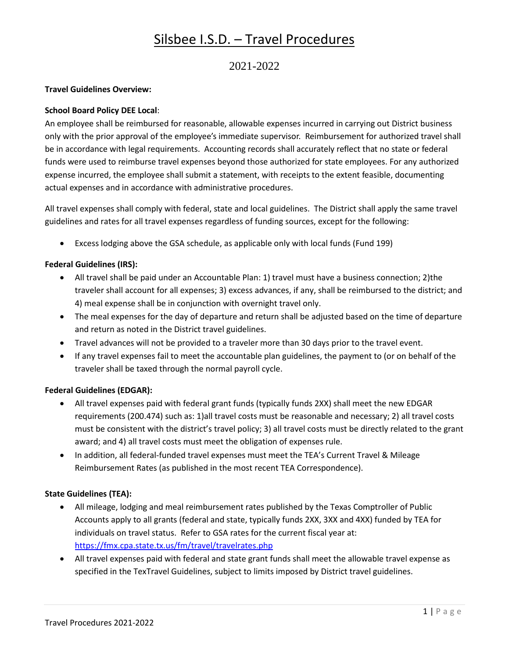## 2021-2022

### **Travel Guidelines Overview:**

### **School Board Policy DEE Local**:

An employee shall be reimbursed for reasonable, allowable expenses incurred in carrying out District business only with the prior approval of the employee's immediate supervisor. Reimbursement for authorized travel shall be in accordance with legal requirements. Accounting records shall accurately reflect that no state or federal funds were used to reimburse travel expenses beyond those authorized for state employees. For any authorized expense incurred, the employee shall submit a statement, with receipts to the extent feasible, documenting actual expenses and in accordance with administrative procedures.

All travel expenses shall comply with federal, state and local guidelines. The District shall apply the same travel guidelines and rates for all travel expenses regardless of funding sources, except for the following:

• Excess lodging above the GSA schedule, as applicable only with local funds (Fund 199)

### **Federal Guidelines (IRS):**

- All travel shall be paid under an Accountable Plan: 1) travel must have a business connection; 2)the traveler shall account for all expenses; 3) excess advances, if any, shall be reimbursed to the district; and 4) meal expense shall be in conjunction with overnight travel only.
- The meal expenses for the day of departure and return shall be adjusted based on the time of departure and return as noted in the District travel guidelines.
- Travel advances will not be provided to a traveler more than 30 days prior to the travel event.
- If any travel expenses fail to meet the accountable plan guidelines, the payment to (or on behalf of the traveler shall be taxed through the normal payroll cycle.

### **Federal Guidelines (EDGAR):**

- All travel expenses paid with federal grant funds (typically funds 2XX) shall meet the new EDGAR requirements (200.474) such as: 1)all travel costs must be reasonable and necessary; 2) all travel costs must be consistent with the district's travel policy; 3) all travel costs must be directly related to the grant award; and 4) all travel costs must meet the obligation of expenses rule.
- In addition, all federal-funded travel expenses must meet the TEA's Current Travel & Mileage Reimbursement Rates (as published in the most recent TEA Correspondence).

### **State Guidelines (TEA):**

- All mileage, lodging and meal reimbursement rates published by the Texas Comptroller of Public Accounts apply to all grants (federal and state, typically funds 2XX, 3XX and 4XX) funded by TEA for individuals on travel status. Refer to GSA rates for the current fiscal year at: <https://fmx.cpa.state.tx.us/fm/travel/travelrates.php>
- All travel expenses paid with federal and state grant funds shall meet the allowable travel expense as specified in the TexTravel Guidelines, subject to limits imposed by District travel guidelines.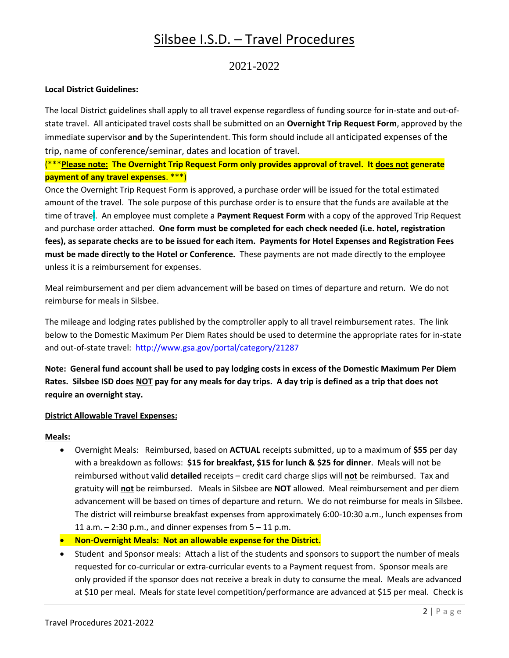## 2021-2022

#### **Local District Guidelines:**

The local District guidelines shall apply to all travel expense regardless of funding source for in-state and out-ofstate travel. All anticipated travel costs shall be submitted on an **Overnight Trip Request Form**, approved by the immediate supervisor **and** by the Superintendent. This form should include all anticipated expenses of the trip, name of conference/seminar, dates and location of travel.

## (\*\*\***Please note: The Overnight Trip Request Form only provides approval of travel. It does not generate payment of any travel expenses**. \*\*\*)

Once the Overnight Trip Request Form is approved, a purchase order will be issued for the total estimated amount of the travel. The sole purpose of this purchase order is to ensure that the funds are available at the time of travel. An employee must complete a **Payment Request Form** with a copy of the approved Trip Request and purchase order attached. **One form must be completed for each check needed (i.e. hotel, registration fees), as separate checks are to be issued for each item. Payments for Hotel Expenses and Registration Fees must be made directly to the Hotel or Conference.** These payments are not made directly to the employee unless it is a reimbursement for expenses.

Meal reimbursement and per diem advancement will be based on times of departure and return. We do not reimburse for meals in Silsbee.

The mileage and lodging rates published by the comptroller apply to all travel reimbursement rates. The link below to the Domestic Maximum Per Diem Rates should be used to determine the appropriate rates for in-state and out-of-state travel: <http://www.gsa.gov/portal/category/21287>

**Note: General fund account shall be used to pay lodging costs in excess of the Domestic Maximum Per Diem Rates. Silsbee ISD does NOT pay for any meals for day trips. A day trip is defined as a trip that does not require an overnight stay.**

#### **District Allowable Travel Expenses:**

#### **Meals:**

- Overnight Meals: Reimbursed, based on **ACTUAL** receipts submitted, up to a maximum of **\$55** per day with a breakdown as follows: **\$15 for breakfast, \$15 for lunch & \$25 for dinner**. Meals will not be reimbursed without valid **detailed** receipts – credit card charge slips will **not** be reimbursed. Tax and gratuity will **not** be reimbursed. Meals in Silsbee are **NOT** allowed. Meal reimbursement and per diem advancement will be based on times of departure and return. We do not reimburse for meals in Silsbee. The district will reimburse breakfast expenses from approximately 6:00-10:30 a.m., lunch expenses from 11 a.m.  $-$  2:30 p.m., and dinner expenses from  $5 - 11$  p.m.
- **Non-Overnight Meals: Not an allowable expense for the District.**
- Student and Sponsor meals: Attach a list of the students and sponsors to support the number of meals requested for co-curricular or extra-curricular events to a Payment request from. Sponsor meals are only provided if the sponsor does not receive a break in duty to consume the meal. Meals are advanced at \$10 per meal. Meals for state level competition/performance are advanced at \$15 per meal. Check is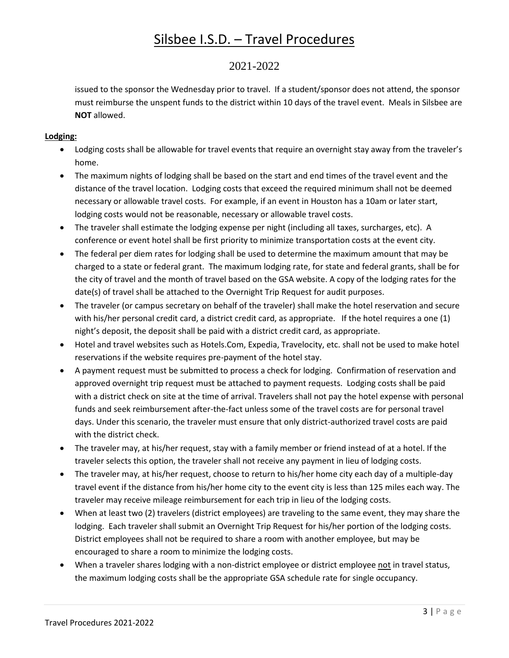## 2021-2022

issued to the sponsor the Wednesday prior to travel. If a student/sponsor does not attend, the sponsor must reimburse the unspent funds to the district within 10 days of the travel event. Meals in Silsbee are **NOT** allowed.

## **Lodging:**

- Lodging costs shall be allowable for travel events that require an overnight stay away from the traveler's home.
- The maximum nights of lodging shall be based on the start and end times of the travel event and the distance of the travel location. Lodging costs that exceed the required minimum shall not be deemed necessary or allowable travel costs. For example, if an event in Houston has a 10am or later start, lodging costs would not be reasonable, necessary or allowable travel costs.
- The traveler shall estimate the lodging expense per night (including all taxes, surcharges, etc). A conference or event hotel shall be first priority to minimize transportation costs at the event city.
- The federal per diem rates for lodging shall be used to determine the maximum amount that may be charged to a state or federal grant. The maximum lodging rate, for state and federal grants, shall be for the city of travel and the month of travel based on the GSA website. A copy of the lodging rates for the date(s) of travel shall be attached to the Overnight Trip Request for audit purposes.
- The traveler (or campus secretary on behalf of the traveler) shall make the hotel reservation and secure with his/her personal credit card, a district credit card, as appropriate. If the hotel requires a one (1) night's deposit, the deposit shall be paid with a district credit card, as appropriate.
- Hotel and travel websites such as Hotels.Com, Expedia, Travelocity, etc. shall not be used to make hotel reservations if the website requires pre-payment of the hotel stay.
- A payment request must be submitted to process a check for lodging. Confirmation of reservation and approved overnight trip request must be attached to payment requests. Lodging costs shall be paid with a district check on site at the time of arrival. Travelers shall not pay the hotel expense with personal funds and seek reimbursement after-the-fact unless some of the travel costs are for personal travel days. Under this scenario, the traveler must ensure that only district-authorized travel costs are paid with the district check.
- The traveler may, at his/her request, stay with a family member or friend instead of at a hotel. If the traveler selects this option, the traveler shall not receive any payment in lieu of lodging costs.
- The traveler may, at his/her request, choose to return to his/her home city each day of a multiple-day travel event if the distance from his/her home city to the event city is less than 125 miles each way. The traveler may receive mileage reimbursement for each trip in lieu of the lodging costs.
- When at least two (2) travelers (district employees) are traveling to the same event, they may share the lodging. Each traveler shall submit an Overnight Trip Request for his/her portion of the lodging costs. District employees shall not be required to share a room with another employee, but may be encouraged to share a room to minimize the lodging costs.
- When a traveler shares lodging with a non-district employee or district employee not in travel status, the maximum lodging costs shall be the appropriate GSA schedule rate for single occupancy.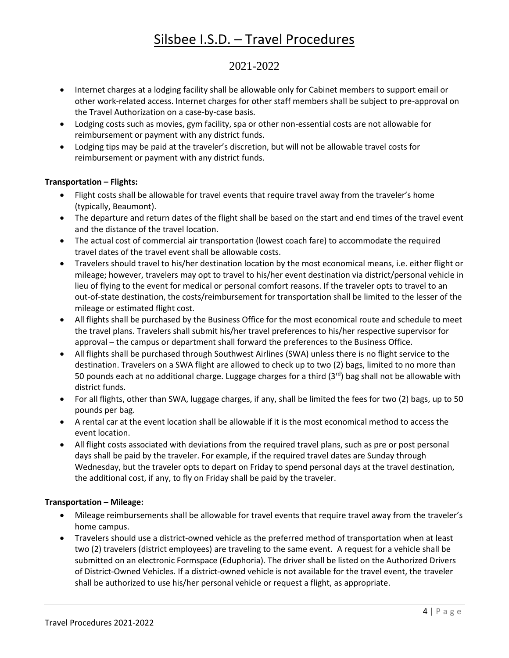# 2021-2022

- Internet charges at a lodging facility shall be allowable only for Cabinet members to support email or other work-related access. Internet charges for other staff members shall be subject to pre-approval on the Travel Authorization on a case-by-case basis.
- Lodging costs such as movies, gym facility, spa or other non-essential costs are not allowable for reimbursement or payment with any district funds.
- Lodging tips may be paid at the traveler's discretion, but will not be allowable travel costs for reimbursement or payment with any district funds.

## **Transportation – Flights:**

- Flight costs shall be allowable for travel events that require travel away from the traveler's home (typically, Beaumont).
- The departure and return dates of the flight shall be based on the start and end times of the travel event and the distance of the travel location.
- The actual cost of commercial air transportation (lowest coach fare) to accommodate the required travel dates of the travel event shall be allowable costs.
- Travelers should travel to his/her destination location by the most economical means, i.e. either flight or mileage; however, travelers may opt to travel to his/her event destination via district/personal vehicle in lieu of flying to the event for medical or personal comfort reasons. If the traveler opts to travel to an out-of-state destination, the costs/reimbursement for transportation shall be limited to the lesser of the mileage or estimated flight cost.
- All flights shall be purchased by the Business Office for the most economical route and schedule to meet the travel plans. Travelers shall submit his/her travel preferences to his/her respective supervisor for approval – the campus or department shall forward the preferences to the Business Office.
- All flights shall be purchased through Southwest Airlines (SWA) unless there is no flight service to the destination. Travelers on a SWA flight are allowed to check up to two (2) bags, limited to no more than 50 pounds each at no additional charge. Luggage charges for a third  $(3<sup>rd</sup>)$  bag shall not be allowable with district funds.
- For all flights, other than SWA, luggage charges, if any, shall be limited the fees for two (2) bags, up to 50 pounds per bag.
- A rental car at the event location shall be allowable if it is the most economical method to access the event location.
- All flight costs associated with deviations from the required travel plans, such as pre or post personal days shall be paid by the traveler. For example, if the required travel dates are Sunday through Wednesday, but the traveler opts to depart on Friday to spend personal days at the travel destination, the additional cost, if any, to fly on Friday shall be paid by the traveler.

### **Transportation – Mileage:**

- Mileage reimbursements shall be allowable for travel events that require travel away from the traveler's home campus.
- Travelers should use a district-owned vehicle as the preferred method of transportation when at least two (2) travelers (district employees) are traveling to the same event. A request for a vehicle shall be submitted on an electronic Formspace (Eduphoria). The driver shall be listed on the Authorized Drivers of District-Owned Vehicles. If a district-owned vehicle is not available for the travel event, the traveler shall be authorized to use his/her personal vehicle or request a flight, as appropriate.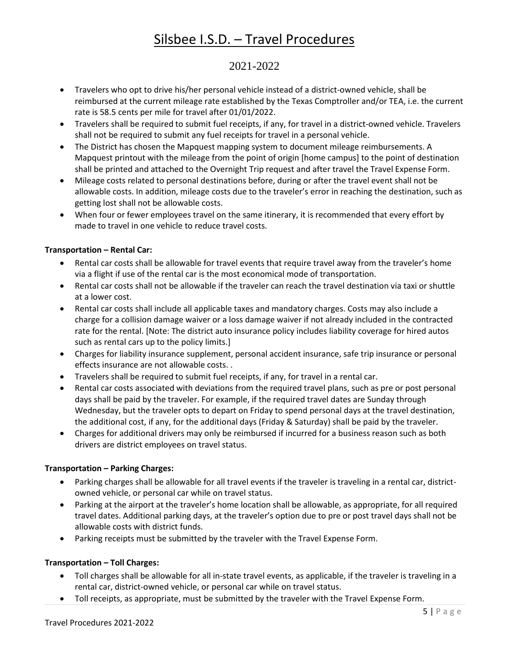# 2021-2022

- Travelers who opt to drive his/her personal vehicle instead of a district-owned vehicle, shall be reimbursed at the current mileage rate established by the Texas Comptroller and/or TEA, i.e. the current rate is 58.5 cents per mile for travel after 01/01/2022.
- Travelers shall be required to submit fuel receipts, if any, for travel in a district-owned vehicle. Travelers shall not be required to submit any fuel receipts for travel in a personal vehicle.
- The District has chosen the Mapquest mapping system to document mileage reimbursements. A Mapquest printout with the mileage from the point of origin [home campus] to the point of destination shall be printed and attached to the Overnight Trip request and after travel the Travel Expense Form.
- Mileage costs related to personal destinations before, during or after the travel event shall not be allowable costs. In addition, mileage costs due to the traveler's error in reaching the destination, such as getting lost shall not be allowable costs.
- When four or fewer employees travel on the same itinerary, it is recommended that every effort by made to travel in one vehicle to reduce travel costs.

## **Transportation – Rental Car:**

- Rental car costs shall be allowable for travel events that require travel away from the traveler's home via a flight if use of the rental car is the most economical mode of transportation.
- Rental car costs shall not be allowable if the traveler can reach the travel destination via taxi or shuttle at a lower cost.
- Rental car costs shall include all applicable taxes and mandatory charges. Costs may also include a charge for a collision damage waiver or a loss damage waiver if not already included in the contracted rate for the rental. [Note: The district auto insurance policy includes liability coverage for hired autos such as rental cars up to the policy limits.]
- Charges for liability insurance supplement, personal accident insurance, safe trip insurance or personal effects insurance are not allowable costs. .
- Travelers shall be required to submit fuel receipts, if any, for travel in a rental car.
- Rental car costs associated with deviations from the required travel plans, such as pre or post personal days shall be paid by the traveler. For example, if the required travel dates are Sunday through Wednesday, but the traveler opts to depart on Friday to spend personal days at the travel destination, the additional cost, if any, for the additional days (Friday & Saturday) shall be paid by the traveler.
- Charges for additional drivers may only be reimbursed if incurred for a business reason such as both drivers are district employees on travel status.

## **Transportation – Parking Charges:**

- Parking charges shall be allowable for all travel events if the traveler is traveling in a rental car, districtowned vehicle, or personal car while on travel status.
- Parking at the airport at the traveler's home location shall be allowable, as appropriate, for all required travel dates. Additional parking days, at the traveler's option due to pre or post travel days shall not be allowable costs with district funds.
- Parking receipts must be submitted by the traveler with the Travel Expense Form.

### **Transportation – Toll Charges:**

- Toll charges shall be allowable for all in-state travel events, as applicable, if the traveler is traveling in a rental car, district-owned vehicle, or personal car while on travel status.
- Toll receipts, as appropriate, must be submitted by the traveler with the Travel Expense Form.